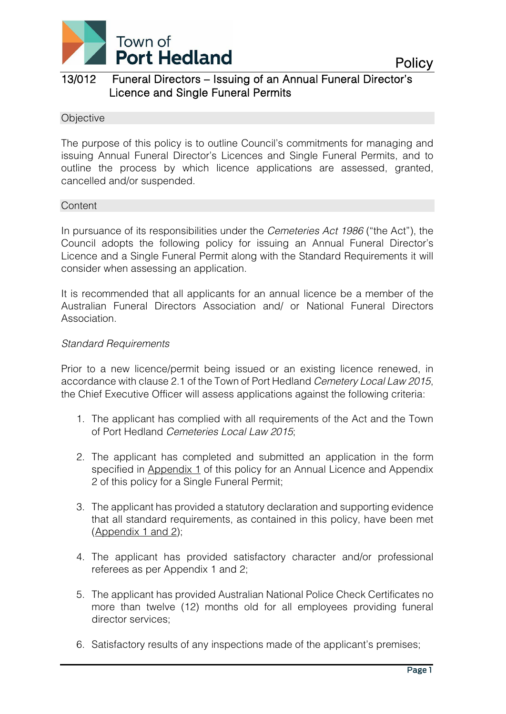

### 13/012 Funeral Directors – Issuing of an Annual Funeral Director's Licence and Single Funeral Permits

#### **Objective**

The purpose of this policy is to outline Council's commitments for managing and issuing Annual Funeral Director's Licences and Single Funeral Permits, and to outline the process by which licence applications are assessed, granted, cancelled and/or suspended.

#### **Content**

In pursuance of its responsibilities under the *Cemeteries Act 1986* ("the Act"), the Council adopts the following policy for issuing an Annual Funeral Director's Licence and a Single Funeral Permit along with the Standard Requirements it will consider when assessing an application.

It is recommended that all applicants for an annual licence be a member of the Australian Funeral Directors Association and/ or National Funeral Directors Association.

#### *Standard Requirements*

Prior to a new licence/permit being issued or an existing licence renewed, in accordance with clause 2.1 of the Town of Port Hedland *Cemetery Local Law 2015*, the Chief Executive Officer will assess applications against the following criteria:

- 1. The applicant has complied with all requirements of the Act and the Town of Port Hedland *Cemeteries Local Law 2015*;
- 2. The applicant has completed and submitted an application in the form specified in Appendix 1 of this policy for an Annual Licence and Appendix 2 of this policy for a Single Funeral Permit;
- 3. The applicant has provided a statutory declaration and supporting evidence that all standard requirements, as contained in this policy, have been met (Appendix 1 and 2);
- 4. The applicant has provided satisfactory character and/or professional referees as per Appendix 1 and 2;
- 5. The applicant has provided Australian National Police Check Certificates no more than twelve (12) months old for all employees providing funeral director services;
- 6. Satisfactory results of any inspections made of the applicant's premises;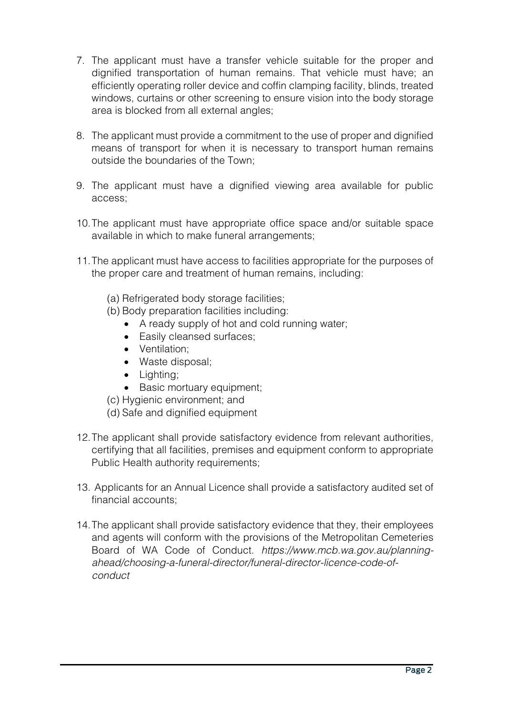- 7. The applicant must have a transfer vehicle suitable for the proper and dignified transportation of human remains. That vehicle must have; an efficiently operating roller device and coffin clamping facility, blinds, treated windows, curtains or other screening to ensure vision into the body storage area is blocked from all external angles;
- 8. The applicant must provide a commitment to the use of proper and dignified means of transport for when it is necessary to transport human remains outside the boundaries of the Town;
- 9. The applicant must have a dignified viewing area available for public access;
- 10.The applicant must have appropriate office space and/or suitable space available in which to make funeral arrangements;
- 11.The applicant must have access to facilities appropriate for the purposes of the proper care and treatment of human remains, including:
	- (a) Refrigerated body storage facilities;
	- (b) Body preparation facilities including:
		- A ready supply of hot and cold running water;
		- Easily cleansed surfaces;
		- Ventilation;
		- Waste disposal;
		- Lighting;
		- Basic mortuary equipment;
	- (c) Hygienic environment; and
	- (d) Safe and dignified equipment
- 12.The applicant shall provide satisfactory evidence from relevant authorities, certifying that all facilities, premises and equipment conform to appropriate Public Health authority requirements;
- 13. Applicants for an Annual Licence shall provide a satisfactory audited set of financial accounts;
- 14.The applicant shall provide satisfactory evidence that they, their employees and agents will conform with the provisions of the Metropolitan Cemeteries Board of WA Code of Conduct. *https://www.mcb.wa.gov.au/planningahead/choosing-a-funeral-director/funeral-director-licence-code-ofconduct*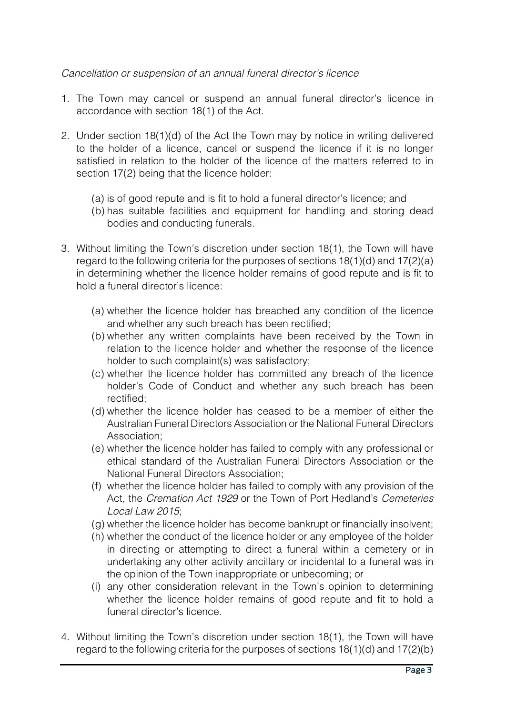#### *Cancellation or suspension of an annual funeral director's licence*

- 1. The Town may cancel or suspend an annual funeral director's licence in accordance with section 18(1) of the Act.
- 2. Under section 18(1)(d) of the Act the Town may by notice in writing delivered to the holder of a licence, cancel or suspend the licence if it is no longer satisfied in relation to the holder of the licence of the matters referred to in section 17(2) being that the licence holder:
	- (a) is of good repute and is fit to hold a funeral director's licence; and
	- (b) has suitable facilities and equipment for handling and storing dead bodies and conducting funerals.
- 3. Without limiting the Town's discretion under section 18(1), the Town will have regard to the following criteria for the purposes of sections 18(1)(d) and 17(2)(a) in determining whether the licence holder remains of good repute and is fit to hold a funeral director's licence:
	- (a) whether the licence holder has breached any condition of the licence and whether any such breach has been rectified;
	- (b) whether any written complaints have been received by the Town in relation to the licence holder and whether the response of the licence holder to such complaint(s) was satisfactory;
	- (c) whether the licence holder has committed any breach of the licence holder's Code of Conduct and whether any such breach has been rectified;
	- (d) whether the licence holder has ceased to be a member of either the Australian Funeral Directors Association or the National Funeral Directors Association;
	- (e) whether the licence holder has failed to comply with any professional or ethical standard of the Australian Funeral Directors Association or the National Funeral Directors Association;
	- (f) whether the licence holder has failed to comply with any provision of the Act, the *Cremation Act 1929* or the Town of Port Hedland's *Cemeteries Local Law 2015*;
	- (g) whether the licence holder has become bankrupt or financially insolvent;
	- (h) whether the conduct of the licence holder or any employee of the holder in directing or attempting to direct a funeral within a cemetery or in undertaking any other activity ancillary or incidental to a funeral was in the opinion of the Town inappropriate or unbecoming; or
	- (i) any other consideration relevant in the Town's opinion to determining whether the licence holder remains of good repute and fit to hold a funeral director's licence.
- 4. Without limiting the Town's discretion under section 18(1), the Town will have regard to the following criteria for the purposes of sections 18(1)(d) and 17(2)(b)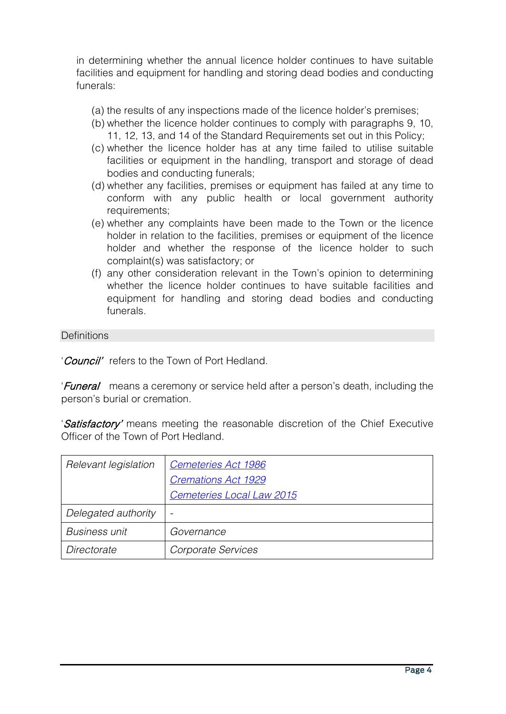in determining whether the annual licence holder continues to have suitable facilities and equipment for handling and storing dead bodies and conducting funerals:

- (a) the results of any inspections made of the licence holder's premises;
- (b) whether the licence holder continues to comply with paragraphs 9, 10, 11, 12, 13, and 14 of the Standard Requirements set out in this Policy;
- (c) whether the licence holder has at any time failed to utilise suitable facilities or equipment in the handling, transport and storage of dead bodies and conducting funerals;
- (d) whether any facilities, premises or equipment has failed at any time to conform with any public health or local government authority requirements;
- (e) whether any complaints have been made to the Town or the licence holder in relation to the facilities, premises or equipment of the licence holder and whether the response of the licence holder to such complaint(s) was satisfactory; or
- (f) any other consideration relevant in the Town's opinion to determining whether the licence holder continues to have suitable facilities and equipment for handling and storing dead bodies and conducting funerals.

**Definitions** 

'Council' refers to the Town of Port Hedland.

'Funeral' means a ceremony or service held after a person's death, including the person's burial or cremation.

'Satisfactory' means meeting the reasonable discretion of the Chief Executive Officer of the Town of Port Hedland.

| Relevant legislation | Cemeteries Act 1986        |
|----------------------|----------------------------|
|                      | <b>Cremations Act 1929</b> |
|                      | Cemeteries Local Law 2015  |
| Delegated authority  |                            |
| <b>Business unit</b> | Governance                 |
| Directorate          | Corporate Services         |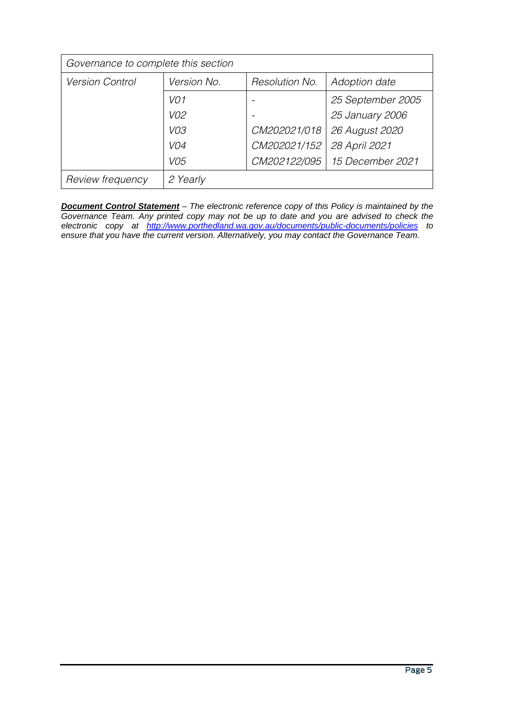| Governance to complete this section |                 |                |                   |
|-------------------------------------|-----------------|----------------|-------------------|
| <b>Version Control</b>              | Version No.     | Resolution No. | Adoption date     |
|                                     | VO <sub>1</sub> |                | 25 September 2005 |
|                                     | V02             |                | 25 January 2006   |
|                                     | VO3             | CM202021/018   | 26 August 2020    |
|                                     | VO4             | CM202021/152   | 28 April 2021     |
|                                     | VO <sub>5</sub> | CM202122/095   | 15 December 2021  |
| Review frequency                    | 2 Yearly        |                |                   |

*Document Control Statement – The electronic reference copy of this Policy is maintained by the Governance Team. Any printed copy may not be up to date and you are advised to check the electronic copy at <http://www.porthedland.wa.gov.au/documents/public-documents/policies> to ensure that you have the current version. Alternatively, you may contact the Governance Team.*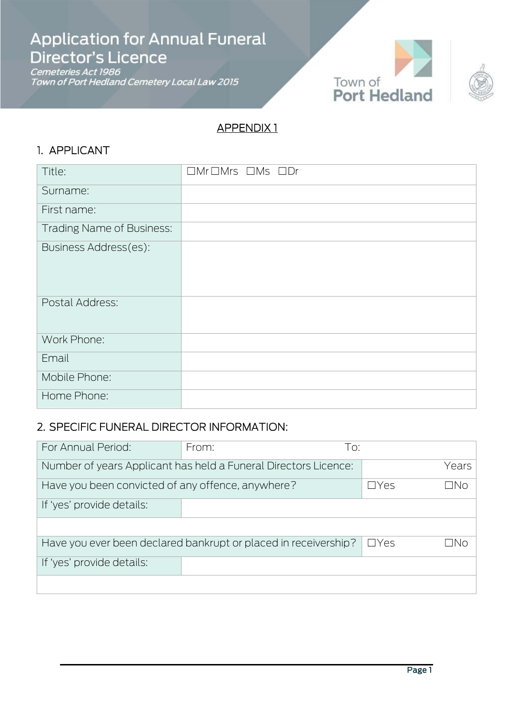**Application for Annual Funeral** Director's Licence

Cemeteries Act 1986<br>Town of Port Hedland Cemetery Local Law 2015





### APPENDIX 1

֚֬

### 1. APPLICANT

| Title:                           | $\Box$ Mr $\Box$ Mrs $\Box$ Ms $\Box$ Dr |
|----------------------------------|------------------------------------------|
| Surname:                         |                                          |
| First name:                      |                                          |
| <b>Trading Name of Business:</b> |                                          |
| Business Address(es):            |                                          |
| Postal Address:                  |                                          |
| Work Phone:                      |                                          |
| Email                            |                                          |
| Mobile Phone:                    |                                          |
| Home Phone:                      |                                          |

### 2. SPECIFIC FUNERAL DIRECTOR INFORMATION:

| For Annual Period:                                              | From: | To:         |             |       |
|-----------------------------------------------------------------|-------|-------------|-------------|-------|
| Number of years Applicant has held a Funeral Directors Licence: |       |             |             | Years |
| Have you been convicted of any offence, anywhere?               |       |             | $\Box Y$ es | INn   |
| If 'yes' provide details:                                       |       |             |             |       |
|                                                                 |       |             |             |       |
| Have you ever been declared bankrupt or placed in receivership? |       | $\Box Y$ es | NN          |       |
| If 'yes' provide details:                                       |       |             |             |       |
|                                                                 |       |             |             |       |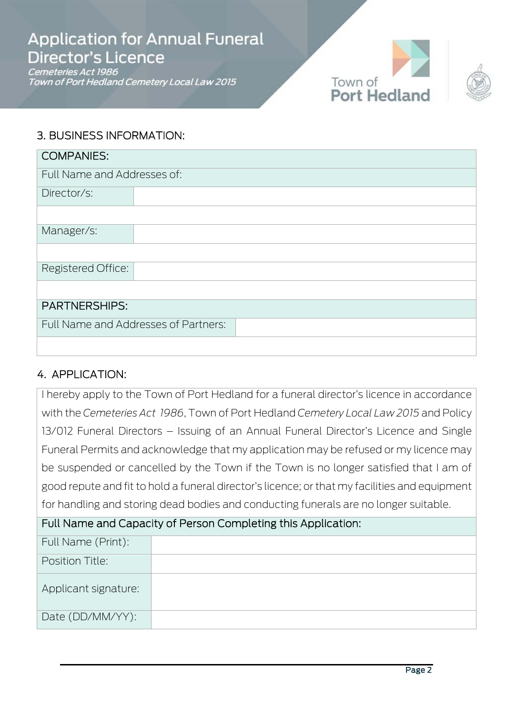## **Application for Annual Funeral** Director's Licence

Cemeteries Act 1986 Town of Port Hedland Cemetery Local Law 2015





### 3. BUSINESS INFORMATION:

| <b>COMPANIES:</b>           |                                      |  |  |
|-----------------------------|--------------------------------------|--|--|
| Full Name and Addresses of: |                                      |  |  |
| Director/s:                 |                                      |  |  |
|                             |                                      |  |  |
| Manager/s:                  |                                      |  |  |
|                             |                                      |  |  |
| Registered Office:          |                                      |  |  |
|                             |                                      |  |  |
| <b>PARTNERSHIPS:</b>        |                                      |  |  |
|                             | Full Name and Addresses of Partners: |  |  |
|                             |                                      |  |  |

### 4. APPLICATION:

I hereby apply to the Town of Port Hedland for a funeral director's licence in accordance with the *Cemeteries Act 1986*, Town of Port Hedland *Cemetery Local Law 2015* and Policy 13/012 Funeral Directors – Issuing of an Annual Funeral Director's Licence and Single Funeral Permits and acknowledge that my application may be refused or my licence may be suspended or cancelled by the Town if the Town is no longer satisfied that I am of good repute and fit to hold a funeral director's licence; or that my facilities and equipment for handling and storing dead bodies and conducting funerals are no longer suitable.

### Full Name and Capacity of Person Completing this Application:

| Full Name (Print):   |  |
|----------------------|--|
| Position Title:      |  |
| Applicant signature: |  |
| Date (DD/MM/YY):     |  |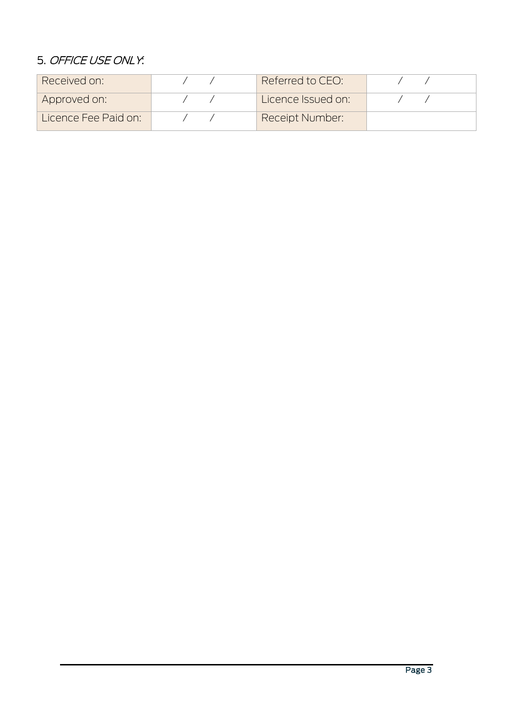### 5. OFFICE USE ONLY:

| Received on:         | Referred to CEO:       |  |
|----------------------|------------------------|--|
| Approved on:         | Licence Issued on:     |  |
| Licence Fee Paid on: | <b>Receipt Number:</b> |  |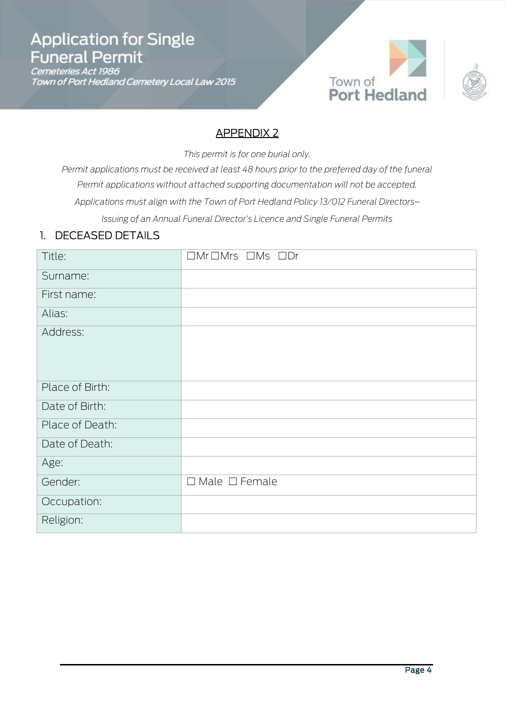# **Application for Single** Funeral Permit

Cemeteries Act 1986<br>Town of Port Hedland Cemetery Local Law 2015





### APPENDIX 2

I

*This permit is for one burial only.*

*Permit applications must be received at least 48 hours prior to the preferred day of the funeral Permit applications without attached supporting documentation will not be accepted. Applications must align with the Town of Port Hedland Policy 13/012 Funeral Directors*– *Issuing of an Annual Funeral Director's Licence and Single Funeral Permits*

### 1. DECEASED DETAILS

| Title:          | $\Box$ Mr $\Box$ Mrs $\Box$ Ms $\Box$ Dr |
|-----------------|------------------------------------------|
| Surname:        |                                          |
| First name:     |                                          |
| Alias:          |                                          |
| Address:        |                                          |
| Place of Birth: |                                          |
| Date of Birth:  |                                          |
| Place of Death: |                                          |
| Date of Death:  |                                          |
| Age:            |                                          |
| Gender:         | $\Box$ Male $\Box$ Female                |
| Occupation:     |                                          |
| Religion:       |                                          |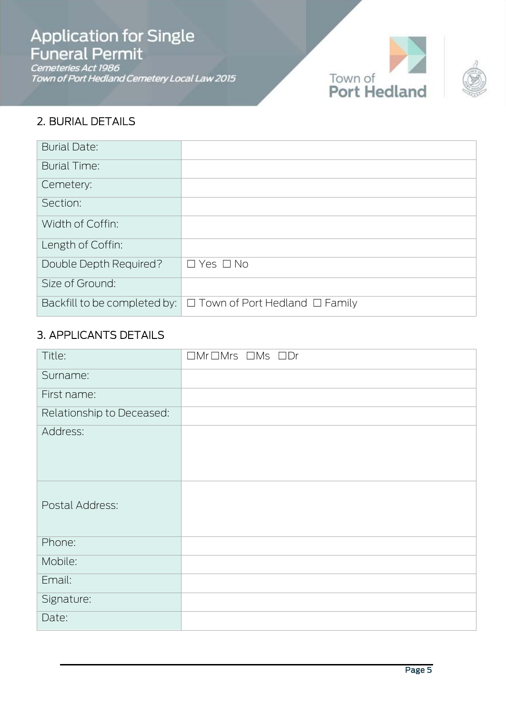# **Application for Single Funeral Permit**

Connection Contract Control<br>Cemeteries Act 1986<br>Town of Port Hedland Cemetery Local Law 2015





### 2. BURIAL DETAILS

| <b>Burial Date:</b>          |                                           |
|------------------------------|-------------------------------------------|
| <b>Burial Time:</b>          |                                           |
| Cemetery:                    |                                           |
| Section:                     |                                           |
| Width of Coffin:             |                                           |
| Length of Coffin:            |                                           |
| Double Depth Required?       | $\Box$ Yes $\Box$ No                      |
| Size of Ground:              |                                           |
| Backfill to be completed by: | $\Box$ Town of Port Hedland $\Box$ Family |

### 3. APPLICANTS DETAILS

| Title:                    | $\Box$ Mr $\Box$ Mrs $\Box$ Ms $\Box$ Dr |
|---------------------------|------------------------------------------|
| Surname:                  |                                          |
| First name:               |                                          |
| Relationship to Deceased: |                                          |
| Address:                  |                                          |
| Postal Address:           |                                          |
| Phone:                    |                                          |
| Mobile:                   |                                          |
| Email:                    |                                          |
| Signature:                |                                          |
| Date:                     |                                          |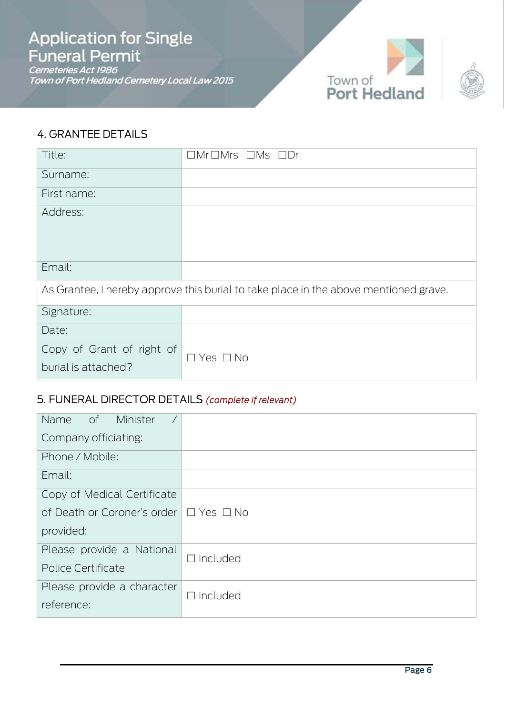Cemeteries Act 1986<br>Town of Port Hedland Cemetery Local Law 2015



### 4. GRANTEE DETAILS

| Title:                                                                               | $\Box$ Mr $\Box$ Mrs $\Box$ Ms $\Box$ Dr |  |
|--------------------------------------------------------------------------------------|------------------------------------------|--|
| Surname:                                                                             |                                          |  |
| First name:                                                                          |                                          |  |
| Address:                                                                             |                                          |  |
| Email:                                                                               |                                          |  |
| As Grantee, I hereby approve this burial to take place in the above mentioned grave. |                                          |  |
| Signature:                                                                           |                                          |  |
| Date:                                                                                |                                          |  |
| Copy of Grant of right of<br>burial is attached?                                     | $\Box$ Yes $\Box$ No                     |  |

### 5. FUNERAL DIRECTOR DETAILS *(complete if relevant)*

| Name of<br>Minister                              |                 |
|--------------------------------------------------|-----------------|
| Company officiating:                             |                 |
| Phone / Mobile:                                  |                 |
| Email:                                           |                 |
| Copy of Medical Certificate                      |                 |
| of Death or Coroner's order $\Box$ Yes $\Box$ No |                 |
| provided:                                        |                 |
| Please provide a National                        | $\Box$ Included |
| Police Certificate                               |                 |
| Please provide a character                       | $\Box$ Included |
| reference:                                       |                 |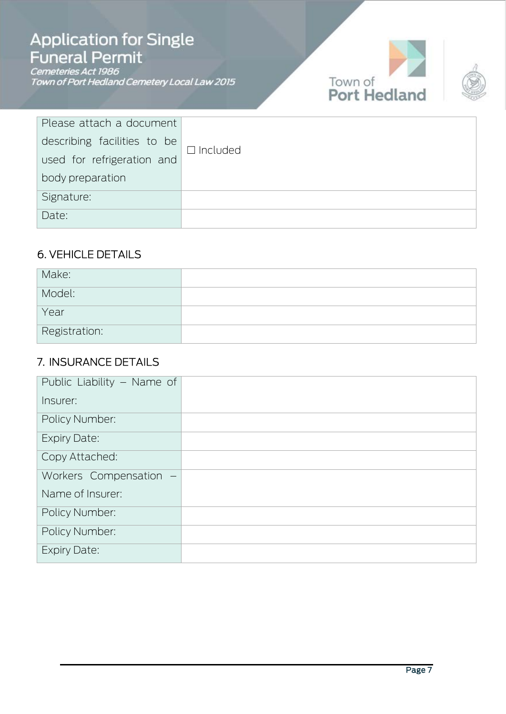# **Application for Single** Funeral Permit

Connection Community<br>Cemeteries Act 1986<br>Town of Port Hedland Cemetery Local Law 2015





| Please attach a document    |                    |
|-----------------------------|--------------------|
| describing facilities to be | $\square$ Included |
| used for refrigeration and  |                    |
| body preparation            |                    |
| Signature:                  |                    |
| Date:                       |                    |

### 6. VEHICLE DETAILS

| Make:         |  |
|---------------|--|
| Model:        |  |
| Year          |  |
| Registration: |  |

### 7. INSURANCE DETAILS

| Public Liability - Name of |  |
|----------------------------|--|
| Insurer:                   |  |
| Policy Number:             |  |
| <b>Expiry Date:</b>        |  |
| Copy Attached:             |  |
| Workers Compensation -     |  |
| Name of Insurer:           |  |
| <b>Policy Number:</b>      |  |
| <b>Policy Number:</b>      |  |
| <b>Expiry Date:</b>        |  |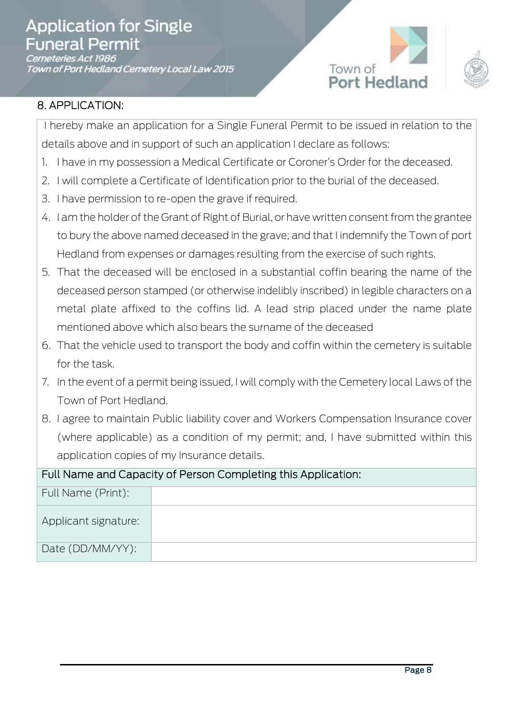Cemeteries Act 1986<br>Town of Port Hedland Cemetery Local Law 2015





### 8. APPLICATION:

I hereby make an application for a Single Funeral Permit to be issued in relation to the details above and in support of such an application I declare as follows:

- 1. I have in my possession a Medical Certificate or Coroner's Order for the deceased.
- 2. I will complete a Certificate of Identification prior to the burial of the deceased.
- 3. I have permission to re-open the grave if required.
- 4. I am the holder of the Grant of Right of Burial, or have written consent from the grantee to bury the above named deceased in the grave; and that I indemnify the Town of port Hedland from expenses or damages resulting from the exercise of such rights.
- 5. That the deceased will be enclosed in a substantial coffin bearing the name of the deceased person stamped (or otherwise indelibly inscribed) in legible characters on a metal plate affixed to the coffins lid. A lead strip placed under the name plate mentioned above which also bears the surname of the deceased
- 6. That the vehicle used to transport the body and coffin within the cemetery is suitable for the task.
- 7. In the event of a permit being issued, I will comply with the Cemetery local Laws of the Town of Port Hedland.
- 8. I agree to maintain Public liability cover and Workers Compensation Insurance cover (where applicable) as a condition of my permit; and, I have submitted within this application copies of my Insurance details.

| Full Name and Capacity of Person Completing this Application: |  |  |
|---------------------------------------------------------------|--|--|
| Full Name (Print):                                            |  |  |
| Applicant signature:                                          |  |  |
| Date (DD/MM/YY):                                              |  |  |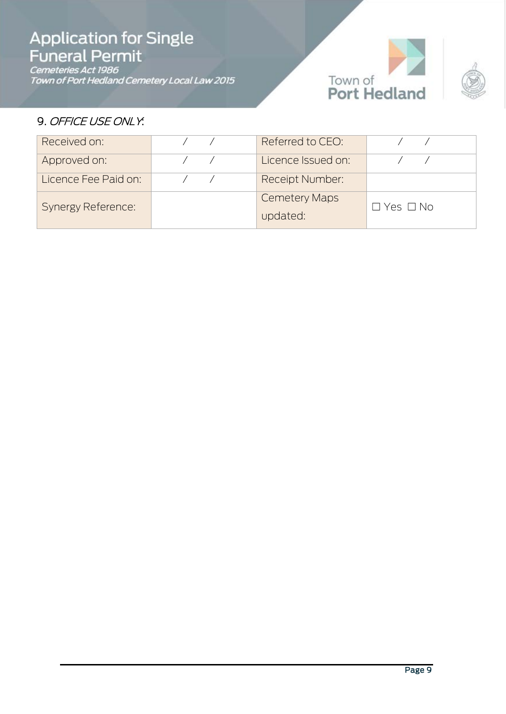# **Application for Single<br>Funeral Permit**

Cemeteries Act 1986<br>Town of Port Hedland Cemetery Local Law 2015



### 9. OFFICE USE ONLY.

| Received on:              | Referred to CEO:                 |                      |
|---------------------------|----------------------------------|----------------------|
| Approved on:              | Licence Issued on:               |                      |
| Licence Fee Paid on:      | <b>Receipt Number:</b>           |                      |
| <b>Synergy Reference:</b> | <b>Cemetery Maps</b><br>updated: | $\Box$ Yes $\Box$ No |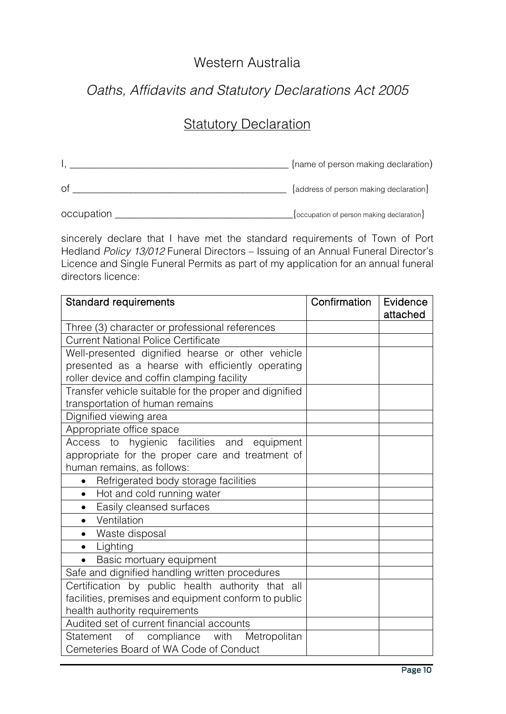### Western Australia

### *Oaths, Affidavits and Statutory Declarations Act 2005*

### **Statutory Declaration**

|            | {name of person making declaration)               |
|------------|---------------------------------------------------|
| Οt         | {address of person making declaration}            |
| occupation | $\{$ occupation of person making declaration $\}$ |

sincerely declare that I have met the standard requirements of Town of Port Hedland *Policy 13/012* Funeral Directors – Issuing of an Annual Funeral Director's Licence and Single Funeral Permits as part of my application for an annual funeral directors licence:

| <b>Standard requirements</b>                           | Confirmation | Evidence |
|--------------------------------------------------------|--------------|----------|
|                                                        |              | attached |
| Three (3) character or professional references         |              |          |
| <b>Current National Police Certificate</b>             |              |          |
| Well-presented dignified hearse or other vehicle       |              |          |
| presented as a hearse with efficiently operating       |              |          |
| roller device and coffin clamping facility             |              |          |
| Transfer vehicle suitable for the proper and dignified |              |          |
| transportation of human remains                        |              |          |
| Dignified viewing area                                 |              |          |
| Appropriate office space                               |              |          |
| hygienic facilities and equipment<br>Access<br>to      |              |          |
| appropriate for the proper care and treatment of       |              |          |
| human remains, as follows:                             |              |          |
| Refrigerated body storage facilities<br>$\bullet$      |              |          |
| Hot and cold running water<br>$\bullet$                |              |          |
| Easily cleansed surfaces<br>$\bullet$                  |              |          |
| Ventilation<br>$\bullet$                               |              |          |
| Waste disposal<br>$\bullet$                            |              |          |
| • Lighting                                             |              |          |
| Basic mortuary equipment                               |              |          |
| Safe and dignified handling written procedures         |              |          |
| Certification by public health authority that all      |              |          |
| facilities, premises and equipment conform to public   |              |          |
| health authority requirements                          |              |          |
| Audited set of current financial accounts              |              |          |
| Statement of compliance with<br>Metropolitan           |              |          |
| Cemeteries Board of WA Code of Conduct                 |              |          |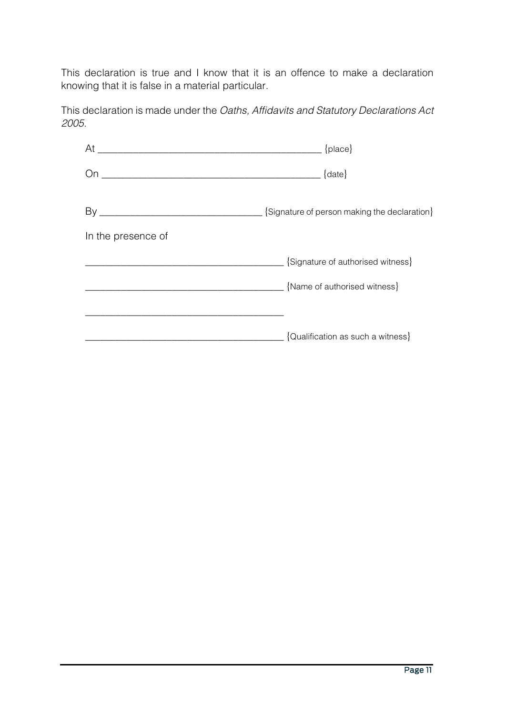This declaration is true and I know that it is an offence to make a declaration knowing that it is false in a material particular.

This declaration is made under the *Oaths, Affidavits and Statutory Declarations Act 2005*.

|                    | {Signature of person making the declaration} |  |
|--------------------|----------------------------------------------|--|
| In the presence of |                                              |  |
|                    | $\Box$ {Signature of authorised witness}     |  |
|                    | $\Box$ {Name of authorised witness}          |  |
|                    |                                              |  |
|                    | $\Box$ {Qualification as such a witness}     |  |